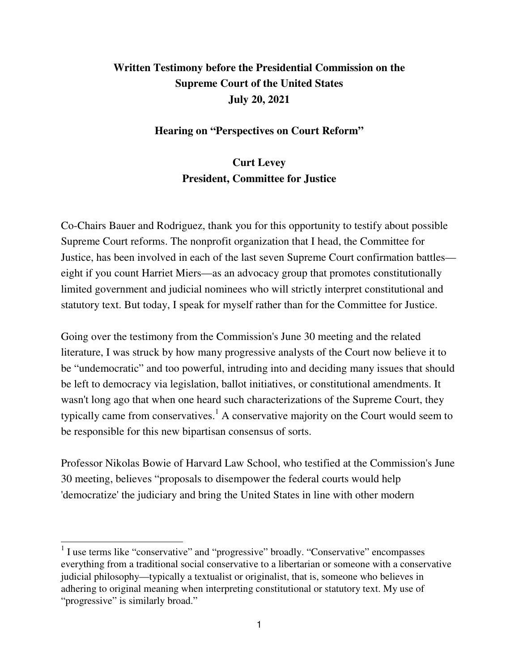## **Written Testimony before the Presidential Commission on the Supreme Court of the United States July 20, 2021**

## **Hearing on "Perspectives on Court Reform"**

## **Curt Levey President, Committee for Justice**

Co-Chairs Bauer and Rodriguez, thank you for this opportunity to testify about possible Supreme Court reforms. The nonprofit organization that I head, the Committee for Justice, has been involved in each of the last seven Supreme Court confirmation battles eight if you count Harriet Miers—as an advocacy group that promotes constitutionally limited government and judicial nominees who will strictly interpret constitutional and statutory text. But today, I speak for myself rather than for the Committee for Justice.

Going over the testimony from the Commission's June 30 meeting and the related literature, I was struck by how many progressive analysts of the Court now believe it to be "undemocratic" and too powerful, intruding into and deciding many issues that should be left to democracy via legislation, ballot initiatives, or constitutional amendments. It wasn't long ago that when one heard such characterizations of the Supreme Court, they typically came from conservatives.<sup>1</sup> A conservative majority on the Court would seem to be responsible for this new bipartisan consensus of sorts.

Professor Nikolas Bowie of Harvard Law School, who testified at the Commission's June 30 meeting, believes "proposals to disempower the federal courts would help 'democratize' the judiciary and bring the United States in line with other modern

<sup>&</sup>lt;sup>1</sup> I use terms like "conservative" and "progressive" broadly. "Conservative" encompasses everything from a traditional social conservative to a libertarian or someone with a conservative judicial philosophy—typically a textualist or originalist, that is, someone who believes in adhering to original meaning when interpreting constitutional or statutory text. My use of "progressive" is similarly broad."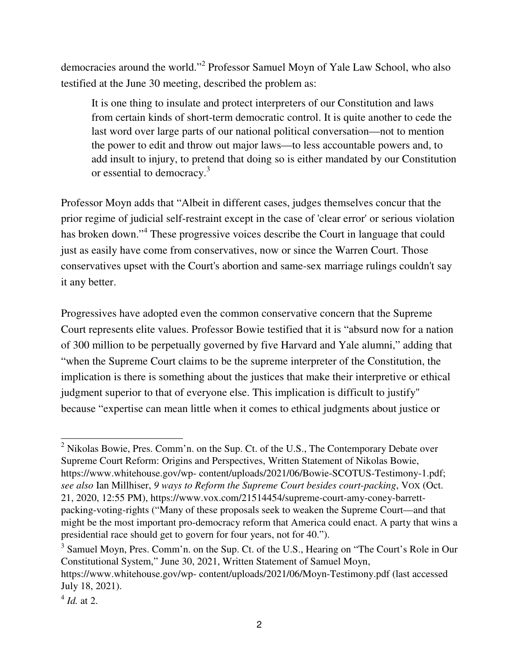democracies around the world."<sup>2</sup> Professor Samuel Moyn of Yale Law School, who also testified at the June 30 meeting, described the problem as:

It is one thing to insulate and protect interpreters of our Constitution and laws from certain kinds of short-term democratic control. It is quite another to cede the last word over large parts of our national political conversation—not to mention the power to edit and throw out major laws—to less accountable powers and, to add insult to injury, to pretend that doing so is either mandated by our Constitution or essential to democracy.<sup>3</sup>

Professor Moyn adds that "Albeit in different cases, judges themselves concur that the prior regime of judicial self-restraint except in the case of 'clear error' or serious violation has broken down."<sup>4</sup> These progressive voices describe the Court in language that could just as easily have come from conservatives, now or since the Warren Court. Those conservatives upset with the Court's abortion and same-sex marriage rulings couldn't say it any better.

Progressives have adopted even the common conservative concern that the Supreme Court represents elite values. Professor Bowie testified that it is "absurd now for a nation of 300 million to be perpetually governed by five Harvard and Yale alumni," adding that "when the Supreme Court claims to be the supreme interpreter of the Constitution, the implication is there is something about the justices that make their interpretive or ethical judgment superior to that of everyone else. This implication is difficult to justify" because "expertise can mean little when it comes to ethical judgments about justice or

 $2$  Nikolas Bowie, Pres. Comm'n. on the Sup. Ct. of the U.S., The Contemporary Debate over Supreme Court Reform: Origins and Perspectives, Written Statement of Nikolas Bowie, https://www.whitehouse.gov/wp- content/uploads/2021/06/Bowie-SCOTUS-Testimony-1.pdf; *see also* Ian Millhiser, *9 ways to Reform the Supreme Court besides court-packing*, VOX (Oct. 21, 2020, 12:55 PM), https://www.vox.com/21514454/supreme-court-amy-coney-barrettpacking-voting-rights ("Many of these proposals seek to weaken the Supreme Court—and that might be the most important pro-democracy reform that America could enact. A party that wins a presidential race should get to govern for four years, not for 40.").

<sup>&</sup>lt;sup>3</sup> Samuel Moyn, Pres. Comm'n. on the Sup. Ct. of the U.S., Hearing on "The Court's Role in Our Constitutional System," June 30, 2021, Written Statement of Samuel Moyn, https://www.whitehouse.gov/wp- content/uploads/2021/06/Moyn-Testimony.pdf (last accessed July 18, 2021).

<sup>4</sup> *Id.* at 2.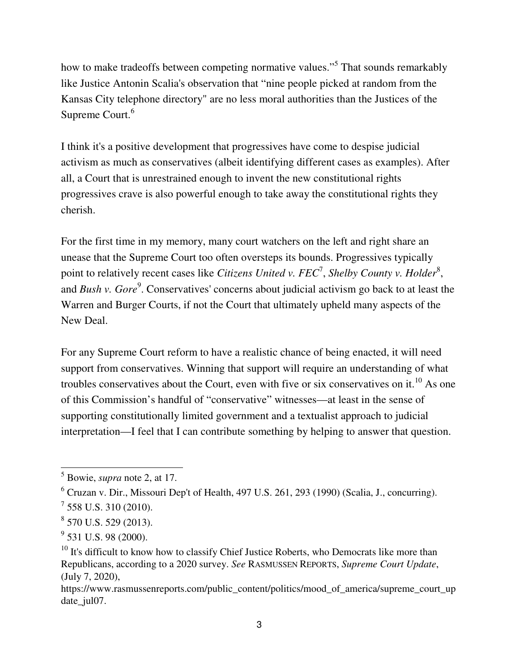how to make tradeoffs between competing normative values."<sup>5</sup> That sounds remarkably like Justice Antonin Scalia's observation that "nine people picked at random from the Kansas City telephone directory" are no less moral authorities than the Justices of the Supreme Court.<sup>6</sup>

I think it's a positive development that progressives have come to despise judicial activism as much as conservatives (albeit identifying different cases as examples). After all, a Court that is unrestrained enough to invent the new constitutional rights progressives crave is also powerful enough to take away the constitutional rights they cherish.

For the first time in my memory, many court watchers on the left and right share an unease that the Supreme Court too often oversteps its bounds. Progressives typically point to relatively recent cases like *Citizens United v. FEC<sup>7</sup>, Shelby County v. Holder<sup>8</sup>,* and *Bush v. Gore<sup>9</sup>*. Conservatives' concerns about judicial activism go back to at least the Warren and Burger Courts, if not the Court that ultimately upheld many aspects of the New Deal.

For any Supreme Court reform to have a realistic chance of being enacted, it will need support from conservatives. Winning that support will require an understanding of what troubles conservatives about the Court, even with five or six conservatives on it.<sup>10</sup> As one of this Commission's handful of "conservative" witnesses—at least in the sense of supporting constitutionally limited government and a textualist approach to judicial interpretation—I feel that I can contribute something by helping to answer that question.

<sup>5</sup> Bowie, *supra* note 2, at 17.

 $<sup>6</sup>$  Cruzan v. Dir., Missouri Dep't of Health, 497 U.S. 261, 293 (1990) (Scalia, J., concurring).</sup>

 $^7$  558 U.S. 310 (2010).

<sup>8</sup> 570 U.S. 529 (2013).

 $9^9$  531 U.S. 98 (2000).

 $10$  It's difficult to know how to classify Chief Justice Roberts, who Democrats like more than Republicans, according to a 2020 survey. *See* RASMUSSEN REPORTS, *Supreme Court Update*, (July 7, 2020),

https://www.rasmussenreports.com/public\_content/politics/mood\_of\_america/supreme\_court\_up date\_jul07.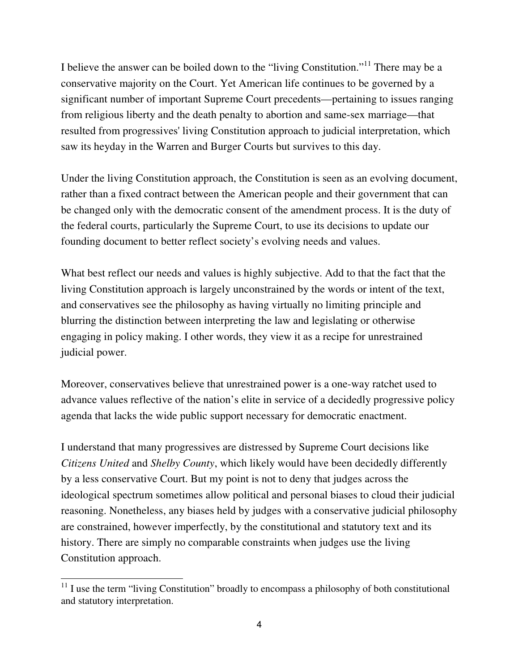I believe the answer can be boiled down to the "living Constitution."<sup>11</sup> There may be a conservative majority on the Court. Yet American life continues to be governed by a significant number of important Supreme Court precedents—pertaining to issues ranging from religious liberty and the death penalty to abortion and same-sex marriage—that resulted from progressives' living Constitution approach to judicial interpretation, which saw its heyday in the Warren and Burger Courts but survives to this day.

Under the living Constitution approach, the Constitution is seen as an evolving document, rather than a fixed contract between the American people and their government that can be changed only with the democratic consent of the amendment process. It is the duty of the federal courts, particularly the Supreme Court, to use its decisions to update our founding document to better reflect society's evolving needs and values.

What best reflect our needs and values is highly subjective. Add to that the fact that the living Constitution approach is largely unconstrained by the words or intent of the text, and conservatives see the philosophy as having virtually no limiting principle and blurring the distinction between interpreting the law and legislating or otherwise engaging in policy making. I other words, they view it as a recipe for unrestrained judicial power.

Moreover, conservatives believe that unrestrained power is a one-way ratchet used to advance values reflective of the nation's elite in service of a decidedly progressive policy agenda that lacks the wide public support necessary for democratic enactment.

I understand that many progressives are distressed by Supreme Court decisions like *Citizens United* and *Shelby County*, which likely would have been decidedly differently by a less conservative Court. But my point is not to deny that judges across the ideological spectrum sometimes allow political and personal biases to cloud their judicial reasoning. Nonetheless, any biases held by judges with a conservative judicial philosophy are constrained, however imperfectly, by the constitutional and statutory text and its history. There are simply no comparable constraints when judges use the living Constitution approach.

 $11$  I use the term "living Constitution" broadly to encompass a philosophy of both constitutional and statutory interpretation.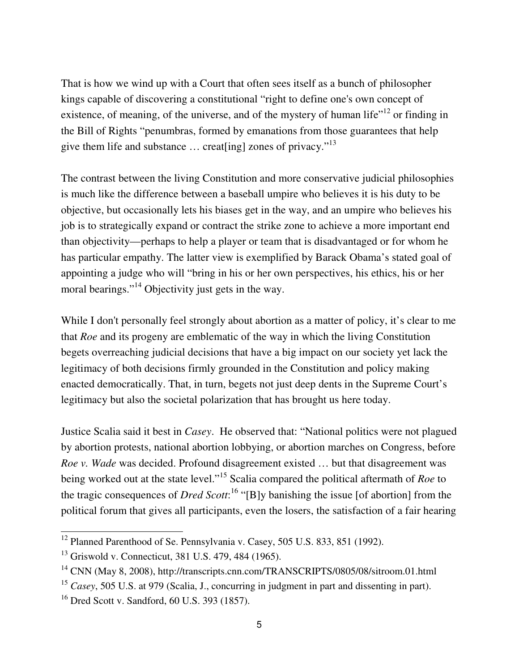That is how we wind up with a Court that often sees itself as a bunch of philosopher kings capable of discovering a constitutional "right to define one's own concept of existence, of meaning, of the universe, and of the mystery of human life"<sup>12</sup> or finding in the Bill of Rights "penumbras, formed by emanations from those guarantees that help give them life and substance … creat[ing] zones of privacy."<sup>13</sup>

The contrast between the living Constitution and more conservative judicial philosophies is much like the difference between a baseball umpire who believes it is his duty to be objective, but occasionally lets his biases get in the way, and an umpire who believes his job is to strategically expand or contract the strike zone to achieve a more important end than objectivity—perhaps to help a player or team that is disadvantaged or for whom he has particular empathy. The latter view is exemplified by Barack Obama's stated goal of appointing a judge who will "bring in his or her own perspectives, his ethics, his or her moral bearings."<sup>14</sup> Objectivity just gets in the way.

While I don't personally feel strongly about abortion as a matter of policy, it's clear to me that *Roe* and its progeny are emblematic of the way in which the living Constitution begets overreaching judicial decisions that have a big impact on our society yet lack the legitimacy of both decisions firmly grounded in the Constitution and policy making enacted democratically. That, in turn, begets not just deep dents in the Supreme Court's legitimacy but also the societal polarization that has brought us here today.

Justice Scalia said it best in *Casey*. He observed that: "National politics were not plagued by abortion protests, national abortion lobbying, or abortion marches on Congress, before *Roe v. Wade* was decided. Profound disagreement existed … but that disagreement was being worked out at the state level."<sup>15</sup> Scalia compared the political aftermath of *Roe* to the tragic consequences of *Dred Scott*: <sup>16</sup> "[B]y banishing the issue [of abortion] from the political forum that gives all participants, even the losers, the satisfaction of a fair hearing

<sup>&</sup>lt;sup>12</sup> Planned Parenthood of Se. Pennsylvania v. Casey, 505 U.S. 833, 851 (1992).

<sup>13</sup> Griswold v. Connecticut, 381 U.S. 479, 484 (1965).

<sup>&</sup>lt;sup>14</sup> CNN (May 8, 2008), http://transcripts.cnn.com/TRANSCRIPTS/0805/08/sitroom.01.html

<sup>&</sup>lt;sup>15</sup> *Casey*, 505 U.S. at 979 (Scalia, J., concurring in judgment in part and dissenting in part).

 $16$  Dred Scott v. Sandford, 60 U.S. 393 (1857).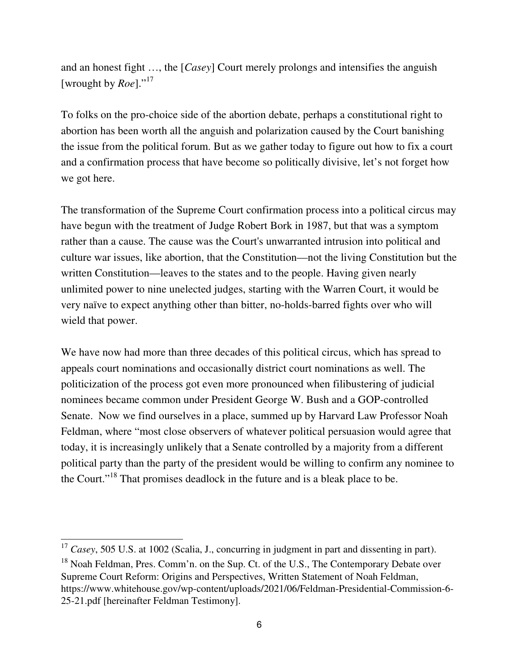and an honest fight …, the [*Casey*] Court merely prolongs and intensifies the anguish [wrought by *Roe*]."<sup>17</sup>

To folks on the pro-choice side of the abortion debate, perhaps a constitutional right to abortion has been worth all the anguish and polarization caused by the Court banishing the issue from the political forum. But as we gather today to figure out how to fix a court and a confirmation process that have become so politically divisive, let's not forget how we got here.

The transformation of the Supreme Court confirmation process into a political circus may have begun with the treatment of Judge Robert Bork in 1987, but that was a symptom rather than a cause. The cause was the Court's unwarranted intrusion into political and culture war issues, like abortion, that the Constitution—not the living Constitution but the written Constitution—leaves to the states and to the people. Having given nearly unlimited power to nine unelected judges, starting with the Warren Court, it would be very naïve to expect anything other than bitter, no-holds-barred fights over who will wield that power.

We have now had more than three decades of this political circus, which has spread to appeals court nominations and occasionally district court nominations as well. The politicization of the process got even more pronounced when filibustering of judicial nominees became common under President George W. Bush and a GOP-controlled Senate. Now we find ourselves in a place, summed up by Harvard Law Professor Noah Feldman, where "most close observers of whatever political persuasion would agree that today, it is increasingly unlikely that a Senate controlled by a majority from a different political party than the party of the president would be willing to confirm any nominee to the Court."<sup>18</sup> That promises deadlock in the future and is a bleak place to be.

<sup>&</sup>lt;sup>17</sup> *Casey*, 505 U.S. at 1002 (Scalia, J., concurring in judgment in part and dissenting in part).

 $18$  Noah Feldman, Pres. Comm'n. on the Sup. Ct. of the U.S., The Contemporary Debate over Supreme Court Reform: Origins and Perspectives, Written Statement of Noah Feldman, https://www.whitehouse.gov/wp-content/uploads/2021/06/Feldman-Presidential-Commission-6- 25-21.pdf [hereinafter Feldman Testimony].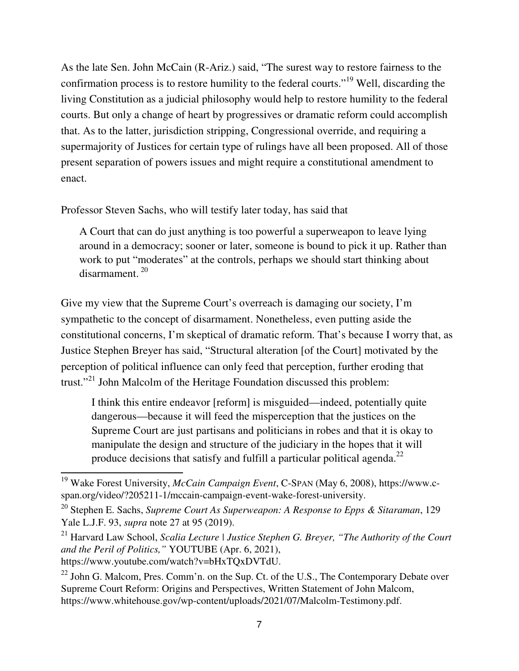As the late Sen. John McCain (R-Ariz.) said, "The surest way to restore fairness to the confirmation process is to restore humility to the federal courts."<sup>19</sup> Well, discarding the living Constitution as a judicial philosophy would help to restore humility to the federal courts. But only a change of heart by progressives or dramatic reform could accomplish that. As to the latter, jurisdiction stripping, Congressional override, and requiring a supermajority of Justices for certain type of rulings have all been proposed. All of those present separation of powers issues and might require a constitutional amendment to enact.

Professor Steven Sachs, who will testify later today, has said that

A Court that can do just anything is too powerful a superweapon to leave lying around in a democracy; sooner or later, someone is bound to pick it up. Rather than work to put "moderates" at the controls, perhaps we should start thinking about  $disarmament$ <sup>20</sup>

Give my view that the Supreme Court's overreach is damaging our society, I'm sympathetic to the concept of disarmament. Nonetheless, even putting aside the constitutional concerns, I'm skeptical of dramatic reform. That's because I worry that, as Justice Stephen Breyer has said, "Structural alteration [of the Court] motivated by the perception of political influence can only feed that perception, further eroding that trust."<sup>21</sup> John Malcolm of the Heritage Foundation discussed this problem:

I think this entire endeavor [reform] is misguided—indeed, potentially quite dangerous—because it will feed the misperception that the justices on the Supreme Court are just partisans and politicians in robes and that it is okay to manipulate the design and structure of the judiciary in the hopes that it will produce decisions that satisfy and fulfill a particular political agenda.<sup>22</sup>

<sup>19</sup> Wake Forest University, *McCain Campaign Event*, C-SPAN (May 6, 2008), https://www.cspan.org/video/?205211-1/mccain-campaign-event-wake-forest-university.

<sup>20</sup> Stephen E. Sachs, *Supreme Court As Superweapon: A Response to Epps & Sitaraman*, 129 Yale L.J.F. 93, *supra* note 27 at 95 (2019).

<sup>&</sup>lt;sup>21</sup> Harvard Law School, *Scalia Lecture | Justice Stephen G. Breyer, "The Authority of the Court and the Peril of Politics,"* YOUTUBE (Apr. 6, 2021), https://www.youtube.com/watch?v=bHxTQxDVTdU.

<sup>&</sup>lt;sup>22</sup> John G. Malcom, Pres. Comm'n. on the Sup. Ct. of the U.S., The Contemporary Debate over Supreme Court Reform: Origins and Perspectives, Written Statement of John Malcom, https://www.whitehouse.gov/wp-content/uploads/2021/07/Malcolm-Testimony.pdf.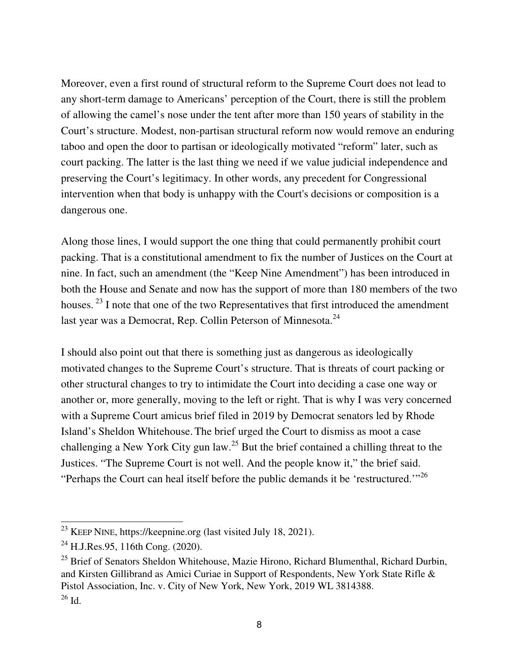Moreover, even a first round of structural reform to the Supreme Court does not lead to any short-term damage to Americans' perception of the Court, there is still the problem of allowing the camel's nose under the tent after more than 150 years of stability in the Court's structure. Modest, non-partisan structural reform now would remove an enduring taboo and open the door to partisan or ideologically motivated "reform" later, such as court packing. The latter is the last thing we need if we value judicial independence and preserving the Court's legitimacy. In other words, any precedent for Congressional intervention when that body is unhappy with the Court's decisions or composition is a dangerous one.

Along those lines, I would support the one thing that could permanently prohibit court packing. That is a constitutional amendment to fix the number of Justices on the Court at nine. In fact, such an amendment (the "Keep Nine Amendment") has been introduced in both the House and Senate and now has the support of more than 180 members of the two houses.<sup>23</sup> I note that one of the two Representatives that first introduced the amendment last year was a Democrat, Rep. Collin Peterson of Minnesota.<sup>24</sup>

I should also point out that there is something just as dangerous as ideologically motivated changes to the Supreme Court's structure. That is threats of court packing or other structural changes to try to intimidate the Court into deciding a case one way or another or, more generally, moving to the left or right. That is why I was very concerned with a Supreme Court amicus brief filed in 2019 by Democrat senators led by Rhode Island's Sheldon Whitehouse. The brief urged the Court to dismiss as moot a case challenging a New York City gun law.<sup>25</sup> But the brief contained a chilling threat to the Justices. "The Supreme Court is not well. And the people know it," the brief said. "Perhaps the Court can heal itself before the public demands it be 'restructured."<sup>26</sup>

<sup>&</sup>lt;sup>23</sup> KEEP NINE, https://keepnine.org (last visited July 18, 2021).

 $^{24}$  H.J.Res.95, 116th Cong. (2020).

 $^{25}$  Brief of Senators Sheldon Whitehouse, Mazie Hirono, Richard Blumenthal, Richard Durbin, and Kirsten Gillibrand as Amici Curiae in Support of Respondents, New York State Rifle & Pistol Association, Inc. v. City of New York, New York, 2019 WL 3814388.  $^{26}$  Id.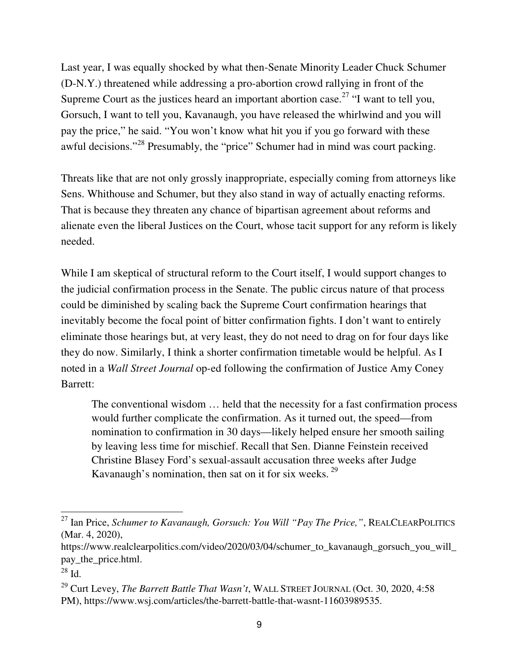Last year, I was equally shocked by what then-Senate Minority Leader Chuck Schumer (D-N.Y.) threatened while addressing a pro-abortion crowd rallying in front of the Supreme Court as the justices heard an important abortion case.<sup>27</sup> "I want to tell you, Gorsuch, I want to tell you, Kavanaugh, you have released the whirlwind and you will pay the price," he said. "You won't know what hit you if you go forward with these awful decisions."<sup>28</sup> Presumably, the "price" Schumer had in mind was court packing.

Threats like that are not only grossly inappropriate, especially coming from attorneys like Sens. Whithouse and Schumer, but they also stand in way of actually enacting reforms. That is because they threaten any chance of bipartisan agreement about reforms and alienate even the liberal Justices on the Court, whose tacit support for any reform is likely needed.

While I am skeptical of structural reform to the Court itself, I would support changes to the judicial confirmation process in the Senate. The public circus nature of that process could be diminished by scaling back the Supreme Court confirmation hearings that inevitably become the focal point of bitter confirmation fights. I don't want to entirely eliminate those hearings but, at very least, they do not need to drag on for four days like they do now. Similarly, I think a shorter confirmation timetable would be helpful. As I noted in a *Wall Street Journal* op-ed following the confirmation of Justice Amy Coney Barrett:

The conventional wisdom … held that the necessity for a fast confirmation process would further complicate the confirmation. As it turned out, the speed—from nomination to confirmation in 30 days—likely helped ensure her smooth sailing by leaving less time for mischief. Recall that Sen. Dianne Feinstein received Christine Blasey Ford's sexual-assault accusation three weeks after Judge Kavanaugh's nomination, then sat on it for six weeks.<sup>29</sup>

https://www.realclearpolitics.com/video/2020/03/04/schumer\_to\_kavanaugh\_gorsuch\_you\_will\_ pay\_the\_price.html.

<sup>27</sup> Ian Price, *Schumer to Kavanaugh, Gorsuch: You Will "Pay The Price,"*, REALCLEARPOLITICS (Mar. 4, 2020),

 $^{28}$  Id.

<sup>29</sup> Curt Levey, *The Barrett Battle That Wasn't*, WALL STREET JOURNAL (Oct. 30, 2020, 4:58 PM), https://www.wsj.com/articles/the-barrett-battle-that-wasnt-11603989535.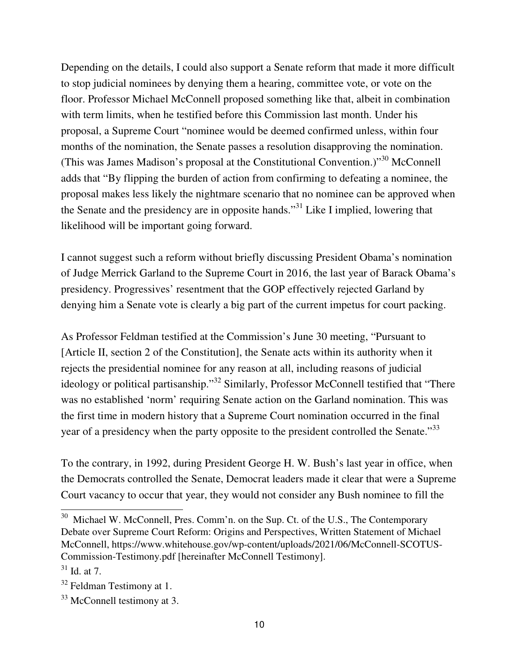Depending on the details, I could also support a Senate reform that made it more difficult to stop judicial nominees by denying them a hearing, committee vote, or vote on the floor. Professor Michael McConnell proposed something like that, albeit in combination with term limits, when he testified before this Commission last month. Under his proposal, a Supreme Court "nominee would be deemed confirmed unless, within four months of the nomination, the Senate passes a resolution disapproving the nomination. (This was James Madison's proposal at the Constitutional Convention.)"<sup>30</sup> McConnell adds that "By flipping the burden of action from confirming to defeating a nominee, the proposal makes less likely the nightmare scenario that no nominee can be approved when the Senate and the presidency are in opposite hands."<sup>31</sup> Like I implied, lowering that likelihood will be important going forward.

I cannot suggest such a reform without briefly discussing President Obama's nomination of Judge Merrick Garland to the Supreme Court in 2016, the last year of Barack Obama's presidency. Progressives' resentment that the GOP effectively rejected Garland by denying him a Senate vote is clearly a big part of the current impetus for court packing.

As Professor Feldman testified at the Commission's June 30 meeting, "Pursuant to [Article II, section 2 of the Constitution], the Senate acts within its authority when it rejects the presidential nominee for any reason at all, including reasons of judicial ideology or political partisanship."<sup>32</sup> Similarly, Professor McConnell testified that "There was no established 'norm' requiring Senate action on the Garland nomination. This was the first time in modern history that a Supreme Court nomination occurred in the final year of a presidency when the party opposite to the president controlled the Senate."<sup>33</sup>

To the contrary, in 1992, during President George H. W. Bush's last year in office, when the Democrats controlled the Senate, Democrat leaders made it clear that were a Supreme Court vacancy to occur that year, they would not consider any Bush nominee to fill the

<sup>&</sup>lt;sup>30</sup> Michael W. McConnell, Pres. Comm'n. on the Sup. Ct. of the U.S., The Contemporary Debate over Supreme Court Reform: Origins and Perspectives, Written Statement of Michael McConnell, https://www.whitehouse.gov/wp-content/uploads/2021/06/McConnell-SCOTUS-Commission-Testimony.pdf [hereinafter McConnell Testimony].

 $31$  Id. at 7.

<sup>&</sup>lt;sup>32</sup> Feldman Testimony at 1.

<sup>&</sup>lt;sup>33</sup> McConnell testimony at 3.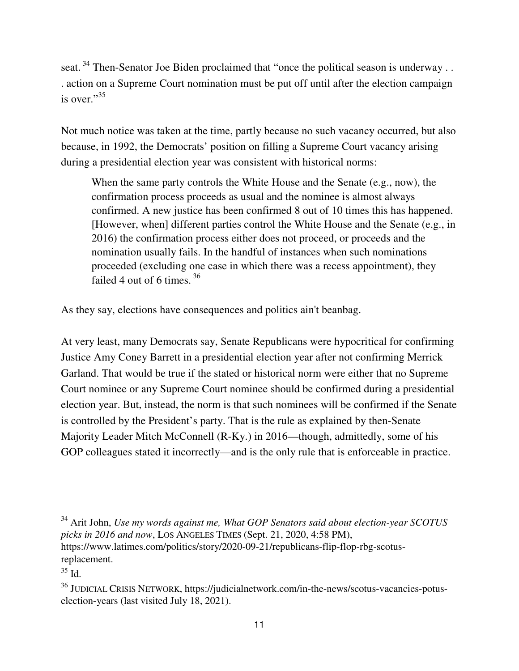seat.<sup>34</sup> Then-Senator Joe Biden proclaimed that "once the political season is underway . . . action on a Supreme Court nomination must be put off until after the election campaign is over."<sup>35</sup>

Not much notice was taken at the time, partly because no such vacancy occurred, but also because, in 1992, the Democrats' position on filling a Supreme Court vacancy arising during a presidential election year was consistent with historical norms:

When the same party controls the White House and the Senate (e.g., now), the confirmation process proceeds as usual and the nominee is almost always confirmed. A new justice has been confirmed 8 out of 10 times this has happened. [However, when] different parties control the White House and the Senate (e.g., in 2016) the confirmation process either does not proceed, or proceeds and the nomination usually fails. In the handful of instances when such nominations proceeded (excluding one case in which there was a recess appointment), they failed 4 out of 6 times.  $36$ 

As they say, elections have consequences and politics ain't beanbag.

At very least, many Democrats say, Senate Republicans were hypocritical for confirming Justice Amy Coney Barrett in a presidential election year after not confirming Merrick Garland. That would be true if the stated or historical norm were either that no Supreme Court nominee or any Supreme Court nominee should be confirmed during a presidential election year. But, instead, the norm is that such nominees will be confirmed if the Senate is controlled by the President's party. That is the rule as explained by then-Senate Majority Leader Mitch McConnell (R-Ky.) in 2016—though, admittedly, some of his GOP colleagues stated it incorrectly—and is the only rule that is enforceable in practice.

<sup>34</sup> Arit John, *Use my words against me, What GOP Senators said about election-year SCOTUS picks in 2016 and now*, LOS ANGELES TIMES (Sept. 21, 2020, 4:58 PM), https://www.latimes.com/politics/story/2020-09-21/republicans-flip-flop-rbg-scotusreplacement.

 $35$  Id.

<sup>36</sup> JUDICIAL CRISIS NETWORK, https://judicialnetwork.com/in-the-news/scotus-vacancies-potuselection-years (last visited July 18, 2021).